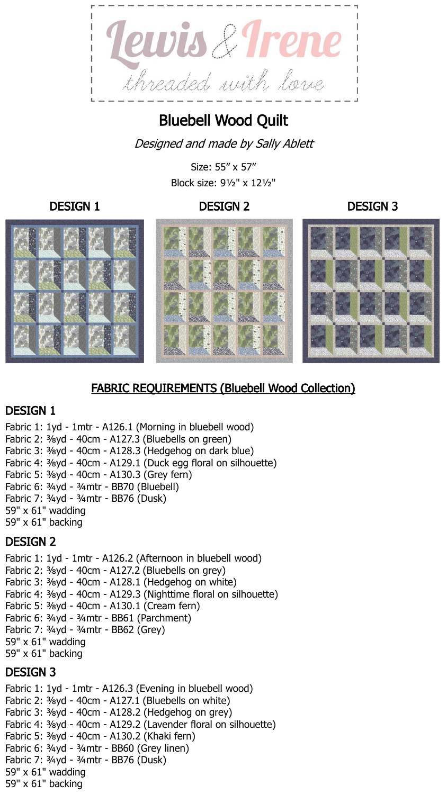

# Bluebell Wood Quilt

Designed and made by Sally Ablett

Size: 55" x 57" Block size: 9½" x 12½"

### DESIGN 1 DESIGN 2 DESIGN 3



## FABRIC REQUIREMENTS (Bluebell Wood Collection)

## DESIGN 1

Fabric 1: 1yd - 1mtr - A126.1 (Morning in bluebell wood) Fabric 2: ⅜yd - 40cm - A127.3 (Bluebells on green) Fabric 3: ⅜yd - 40cm - A128.3 (Hedgehog on dark blue) Fabric 4: ⅜yd - 40cm - A129.1 (Duck egg floral on silhouette) Fabric 5: ⅜yd - 40cm - A130.3 (Grey fern) Fabric 6: ¾yd - ¾mtr - BB70 (Bluebell) Fabric 7: ¾yd - ¾mtr - BB76 (Dusk) 59" x 61" wadding 59" x 61" backing DESIGN 2 Fabric 1: 1yd - 1mtr - A126.2 (Afternoon in bluebell wood)

Fabric 2: ⅜yd - 40cm - A127.2 (Bluebells on grey) Fabric 3: ⅜yd - 40cm - A128.1 (Hedgehog on white) Fabric 4: ⅜yd - 40cm - A129.3 (Nighttime floral on silhouette) Fabric 5: ⅜yd - 40cm - A130.1 (Cream fern) Fabric 6: ¾yd - ¾mtr - BB61 (Parchment) Fabric 7: ¾yd - ¾mtr - BB62 (Grey) 59" x 61" wadding 59" x 61" backing

## DESIGN 3

Fabric 1: 1yd - 1mtr - A126.3 (Evening in bluebell wood) Fabric 2: ⅜yd - 40cm - A127.1 (Bluebells on white) Fabric 3: ⅜yd - 40cm - A128.2 (Hedgehog on grey) Fabric 4: ⅜yd - 40cm - A129.2 (Lavender floral on silhouette) Fabric 5: ⅜yd - 40cm - A130.2 (Khaki fern) Fabric 6: ¾yd - ¾mtr - BB60 (Grey linen) Fabric 7: ¾yd - ¾mtr - BB76 (Dusk) 59" x 61" wadding 59" x 61" backing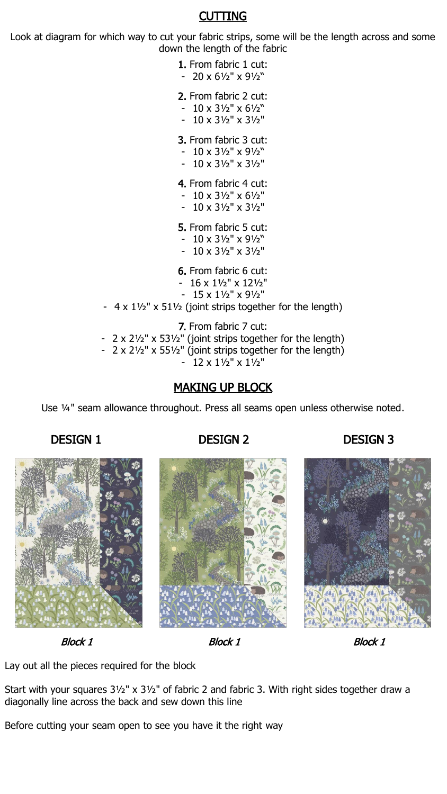### CUTTING

Look at diagram for which way to cut your fabric strips, some will be the length across and some down the length of the fabric

> 1. From fabric 1 cut:  $-20 \times 6\frac{1}{2}$ "  $\times 9\frac{1}{2}$ " 2. From fabric 2 cut:  $-10 \times 3\frac{1}{2}$ "  $\times 6\frac{1}{2}$ "  $-10 \times 3\frac{1}{2}$ "  $\times 3\frac{1}{2}$ " 3. From fabric 3 cut:  $-10 \times 3\frac{1}{2}$ "  $\times 9\frac{1}{2}$ "  $-10 \times 3\frac{1}{2}$ "  $\times 3\frac{1}{2}$ " 4. From fabric 4 cut: -  $10 \times 3\frac{1}{2}$ "  $\times 6\frac{1}{2}$ "  $-10 \times 3\frac{1}{2}$ "  $\times 3\frac{1}{2}$ " 5. From fabric 5 cut:  $-10 \times 3\frac{1}{2}$ "  $\times 9\frac{1}{2}$ "  $-10 \times 3\frac{1}{2}$ "  $\times 3\frac{1}{2}$ " 6. From fabric 6 cut:  $-16 \times 1\frac{1}{2}$ "  $\times 12\frac{1}{2}$ " - 15 x 1½" x 9½" -  $4 \times 1\frac{1}{2}$ " x 51 $\frac{1}{2}$  (joint strips together for the length) 7. From fabric 7 cut: -  $2 \times 2\frac{1}{2}$ " x 53 $\frac{1}{2}$ " (joint strips together for the length) - 2 x 2½" x 55½" (joint strips together for the length)  $-12 \times 1\frac{1}{2}$ "  $\times 1\frac{1}{2}$ "

### MAKING UP BLOCK

Use ¼" seam allowance throughout. Press all seams open unless otherwise noted.

## DESIGN 1 DESIGN 2 DESIGN 3





Lay out all the pieces required for the block

Start with your squares 3½" x 3½" of fabric 2 and fabric 3. With right sides together draw a diagonally line across the back and sew down this line

Before cutting your seam open to see you have it the right way